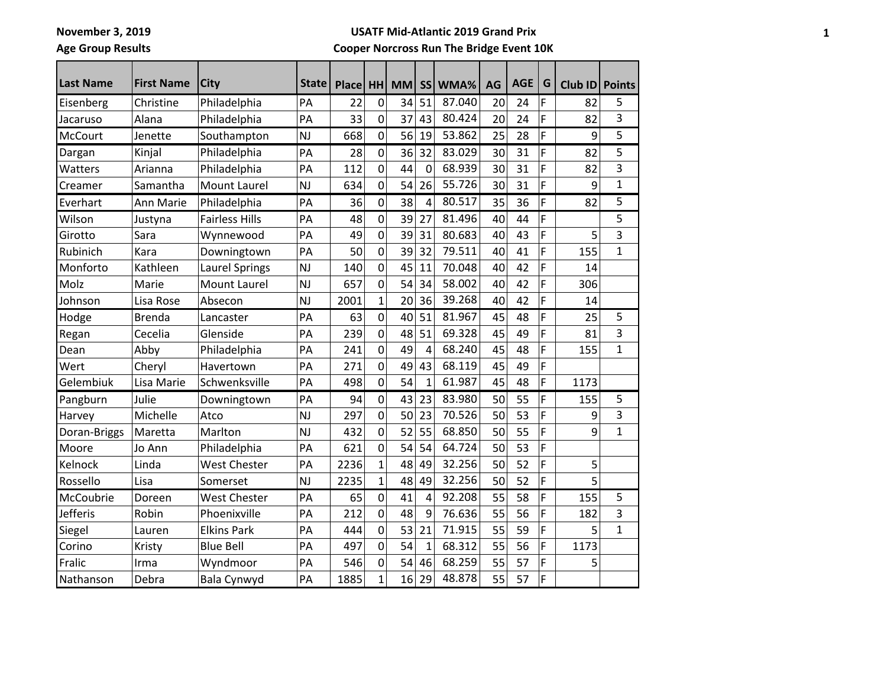**Age Group Results**

**USATF Mid-Atlantic 2019 Grand Prix**

| <b>Last Name</b> | <b>First Name</b> | <b>City</b>           | <b>State</b> | <b>Place</b> | HH             | <b>MM</b> | <b>SS</b>      | WMA%   | AG | <b>AGE</b> | G | Club ID Points |                |
|------------------|-------------------|-----------------------|--------------|--------------|----------------|-----------|----------------|--------|----|------------|---|----------------|----------------|
| Eisenberg        | Christine         | Philadelphia          | PA           | 22           | 0              | 34        | 51             | 87.040 | 20 | 24         | F | 82             | 5              |
| Jacaruso         | Alana             | Philadelphia          | PA           | 33           | 0              | 37        | 43             | 80.424 | 20 | 24         | F | 82             | $\overline{3}$ |
| <b>McCourt</b>   | Jenette           | Southampton           | <b>NJ</b>    | 668          | 0              | 56        | 19             | 53.862 | 25 | 28         | F | 9              | 5              |
| Dargan           | Kinjal            | Philadelphia          | PA           | 28           | 0              | 36        | 32             | 83.029 | 30 | 31         | F | 82             | 5              |
| Watters          | Arianna           | Philadelphia          | PA           | 112          | $\overline{0}$ | 44        | $\mathbf 0$    | 68.939 | 30 | 31         | F | 82             | 3              |
| Creamer          | Samantha          | Mount Laurel          | <b>NJ</b>    | 634          | 0              | 54        | 26             | 55.726 | 30 | 31         | F | 9              | $\mathbf{1}$   |
| Everhart         | Ann Marie         | Philadelphia          | PA           | 36           | 0              | 38        | $\overline{4}$ | 80.517 | 35 | 36         | F | 82             | 5              |
| Wilson           | Justyna           | <b>Fairless Hills</b> | PA           | 48           | 0              | 39        | 27             | 81.496 | 40 | 44         | F |                | 5              |
| Girotto          | Sara              | Wynnewood             | PA           | 49           | $\overline{0}$ | 39        | 31             | 80.683 | 40 | 43         | F | 5              | 3              |
| Rubinich         | Kara              | Downingtown           | PA           | 50           | 0              | 39        | 32             | 79.511 | 40 | 41         | F | 155            | $\mathbf{1}$   |
| Monforto         | Kathleen          | <b>Laurel Springs</b> | <b>NJ</b>    | 140          | 0              | 45        | 11             | 70.048 | 40 | 42         | F | 14             |                |
| Molz             | Marie             | <b>Mount Laurel</b>   | <b>NJ</b>    | 657          | 0              | 54        | 34             | 58.002 | 40 | 42         | F | 306            |                |
| Johnson          | Lisa Rose         | Absecon               | <b>NJ</b>    | 2001         | $\overline{1}$ | 20        | 36             | 39.268 | 40 | 42         | F | 14             |                |
| Hodge            | <b>Brenda</b>     | Lancaster             | PA           | 63           | 0              | 40        | 51             | 81.967 | 45 | 48         | F | 25             | 5              |
| Regan            | Cecelia           | Glenside              | PA           | 239          | 0              | 48        | 51             | 69.328 | 45 | 49         | F | 81             | $\overline{3}$ |
| Dean             | Abby              | Philadelphia          | PA           | 241          | 0              | 49        | $\overline{4}$ | 68.240 | 45 | 48         | F | 155            | $\mathbf{1}$   |
| Wert             | Cheryl            | Havertown             | PA           | 271          | 0              | 49        | 43             | 68.119 | 45 | 49         | F |                |                |
| Gelembiuk        | Lisa Marie        | Schwenksville         | PA           | 498          | 0              | 54        | $\mathbf{1}$   | 61.987 | 45 | 48         | F | 1173           |                |
| Pangburn         | Julie             | Downingtown           | PA           | 94           | 0              | 43        | 23             | 83.980 | 50 | 55         | F | 155            | 5              |
| Harvey           | Michelle          | Atco                  | <b>NJ</b>    | 297          | 0              | 50        | 23             | 70.526 | 50 | 53         | F | 9              | $\overline{3}$ |
| Doran-Briggs     | Maretta           | Marlton               | <b>NJ</b>    | 432          | 0              | 52        | 55             | 68.850 | 50 | 55         | F | 9              | $\mathbf{1}$   |
| Moore            | Jo Ann            | Philadelphia          | PA           | 621          | $\overline{0}$ | 54        | 54             | 64.724 | 50 | 53         | F |                |                |
| Kelnock          | Linda             | <b>West Chester</b>   | PA           | 2236         | $\mathbf{1}$   | 48        | 49             | 32.256 | 50 | 52         | F | 5              |                |
| Rossello         | Lisa              | Somerset              | <b>NJ</b>    | 2235         | $\mathbf{1}$   | 48        | 49             | 32.256 | 50 | 52         | F | 5              |                |
| McCoubrie        | Doreen            | <b>West Chester</b>   | PA           | 65           | 0              | 41        | 4              | 92.208 | 55 | 58         | F | 155            | 5              |
| Jefferis         | Robin             | Phoenixville          | PA           | 212          | 0              | 48        | 9              | 76.636 | 55 | 56         | F | 182            | 3              |
| Siegel           | Lauren            | <b>Elkins Park</b>    | PA           | 444          | 0              | 53        | 21             | 71.915 | 55 | 59         | F | 5              | $\mathbf{1}$   |
| Corino           | Kristy            | <b>Blue Bell</b>      | PA           | 497          | $\overline{0}$ | 54        | $\mathbf{1}$   | 68.312 | 55 | 56         | F | 1173           |                |
| Fralic           | Irma              | Wyndmoor              | PA           | 546          | 0              | 54        | 46             | 68.259 | 55 | 57         | F | 5              |                |
| Nathanson        | Debra             | Bala Cynwyd           | PA           | 1885         | $\overline{1}$ | 16        | 29             | 48.878 | 55 | 57         | F |                |                |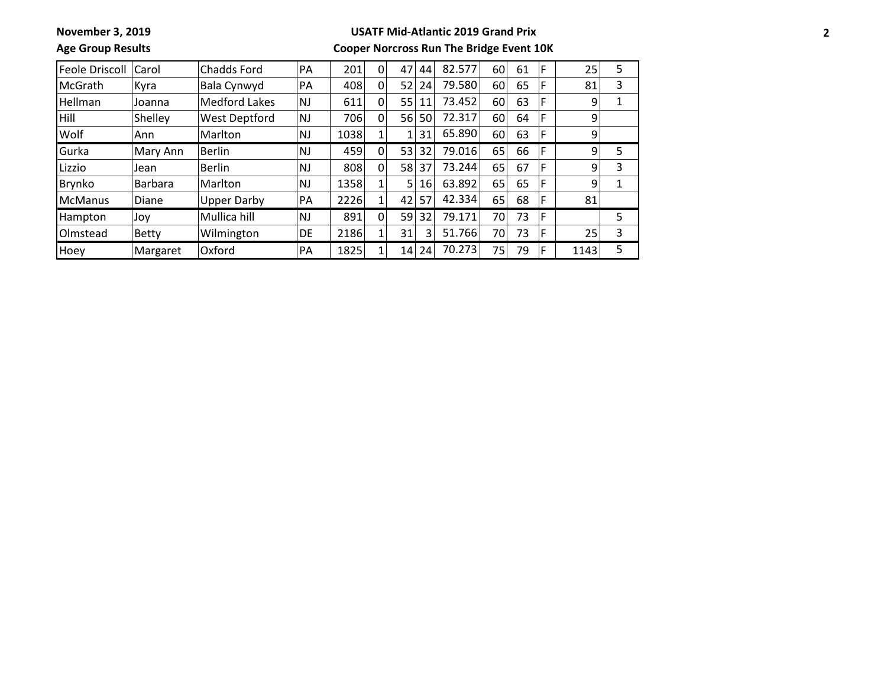# **Age Group Results**

### **USATF Mid-Atlantic 2019 Grand Prix**

| <b>Feole Driscoll</b> | Carol          | Chadds Ford        | PA        | 201  | 0        | 47  | 44 | 82.577 | 60 | 61 | F | 25   | 5 |
|-----------------------|----------------|--------------------|-----------|------|----------|-----|----|--------|----|----|---|------|---|
| <b>McGrath</b>        | Kyra           | Bala Cynwyd        | PA        | 408  | 0        | 52  | 24 | 79.580 | 60 | 65 | F | 81   | 3 |
| <b>Hellman</b>        | Joanna         | Medford Lakes      | <b>NJ</b> | 611  | 0        | 55  | 11 | 73.452 | 60 | 63 | F | 9    |   |
| <b>Hill</b>           | Shelley        | West Deptford      | <b>NJ</b> | 706  | 0        | 56  | 50 | 72.317 | 60 | 64 | F | 9    |   |
| Wolf                  | Ann            | Marlton            | <b>NJ</b> | 1038 |          | 1   | 31 | 65.890 | 60 | 63 | F | 9    |   |
| Gurka                 | Mary Ann       | <b>Berlin</b>      | <b>NJ</b> | 459  | $\Omega$ | 53  | 32 | 79.016 | 65 | 66 | F | 9    | 5 |
| Lizzio                | Jean           | <b>Berlin</b>      | <b>NJ</b> | 808  | 0        | 58  | 37 | 73.244 | 65 | 67 | F | 9    | 3 |
| Brynko                | <b>Barbara</b> | Marlton            | <b>NJ</b> | 1358 |          | 5   | 16 | 63.892 | 65 | 65 | F | 9    |   |
| <b>McManus</b>        | Diane          | <b>Upper Darby</b> | PA        | 2226 | 1        | 42  | 57 | 42.334 | 65 | 68 | F | 81   |   |
| Hampton               | Joy            | Mullica hill       | NJ        | 891  | 0        | 59  | 32 | 79.171 | 70 | 73 | F |      | 5 |
| Olmstead              | <b>Betty</b>   | Wilmington         | <b>DE</b> | 2186 | 1        | 31  | 3  | 51.766 | 70 | 73 |   | 25   | 3 |
| Hoey                  | Margaret       | Oxford             | <b>PA</b> | 1825 |          | 141 | 24 | 70.273 | 75 | 79 | F | 1143 | 5 |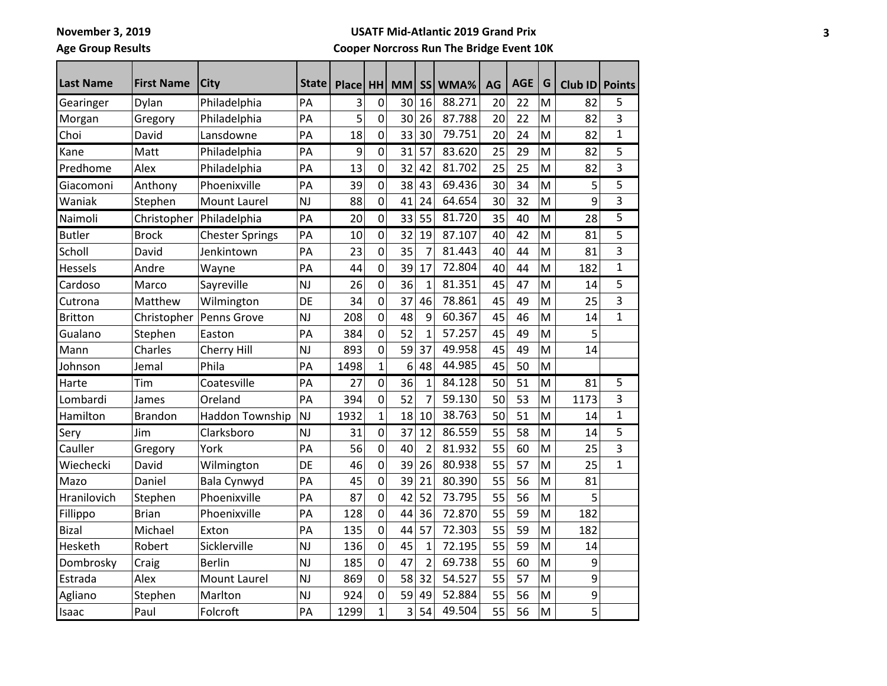**Age Group Results**

#### **USATF Mid-Atlantic 2019 Grand Prix**

| <b>Last Name</b> | <b>First Name</b> | <b>City</b>            | <b>State</b> | <b>Place</b> | <b>HH</b>      | <b>MM</b> | <b>SS</b>      | WMA%   | AG | <b>AGE</b> | G | Club ID | <b>Points</b> |
|------------------|-------------------|------------------------|--------------|--------------|----------------|-----------|----------------|--------|----|------------|---|---------|---------------|
| Gearinger        | Dylan             | Philadelphia           | PA           | 3            | 0              | 30        | 16             | 88.271 | 20 | 22         | M | 82      | 5             |
| Morgan           | Gregory           | Philadelphia           | PA           | 5            | 0              | 30        | 26             | 87.788 | 20 | 22         | M | 82      | 3             |
| Choi             | David             | Lansdowne              | PA           | 18           | 0              | 33        | 30             | 79.751 | 20 | 24         | M | 82      | $\mathbf{1}$  |
| Kane             | Matt              | Philadelphia           | PA           | 9            | $\mathbf 0$    | 31        | 57             | 83.620 | 25 | 29         | M | 82      | 5             |
| Predhome         | Alex              | Philadelphia           | PA           | 13           | 0              | 32        | 42             | 81.702 | 25 | 25         | M | 82      | 3             |
| Giacomoni        | Anthony           | Phoenixville           | PA           | 39           | 0              | 38        | 43             | 69.436 | 30 | 34         | M | 5       | 5             |
| Waniak           | Stephen           | <b>Mount Laurel</b>    | <b>NJ</b>    | 88           | 0              | 41        | 24             | 64.654 | 30 | 32         | M | 9       | 3             |
| Naimoli          | Christopher       | Philadelphia           | PA           | 20           | $\mathbf 0$    | 33        | 55             | 81.720 | 35 | 40         | M | 28      | 5             |
| <b>Butler</b>    | <b>Brock</b>      | <b>Chester Springs</b> | PA           | 10           | $\mathbf 0$    | 32        | 19             | 87.107 | 40 | 42         | M | 81      | 5             |
| Scholl           | David             | Jenkintown             | PА           | 23           | 0              | 35        | 7              | 81.443 | 40 | 44         | M | 81      | 3             |
| Hessels          | Andre             | Wayne                  | PA           | 44           | 0              | 39        | 17             | 72.804 | 40 | 44         | M | 182     | 1             |
| Cardoso          | Marco             | Sayreville             | <b>NJ</b>    | 26           | $\pmb{0}$      | 36        | $\mathbf{1}$   | 81.351 | 45 | 47         | M | 14      | 5             |
| Cutrona          | Matthew           | Wilmington             | DE           | 34           | 0              | 37        | 46             | 78.861 | 45 | 49         | M | 25      | 3             |
| <b>Britton</b>   | Christopher       | Penns Grove            | <b>NJ</b>    | 208          | 0              | 48        | 9              | 60.367 | 45 | 46         | M | 14      | $\mathbf{1}$  |
| Gualano          | Stephen           | Easton                 | PA           | 384          | 0              | 52        | 1              | 57.257 | 45 | 49         | M | 5       |               |
| Mann             | Charles           | Cherry Hill            | <b>NJ</b>    | 893          | 0              | 59        | 37             | 49.958 | 45 | 49         | M | 14      |               |
| Johnson          | Jemal             | Phila                  | PA           | 1498         | $\overline{1}$ | 6         | 48             | 44.985 | 45 | 50         | M |         |               |
| Harte            | Tim               | Coatesville            | PA           | 27           | $\mathbf 0$    | 36        | $\mathbf{1}$   | 84.128 | 50 | 51         | M | 81      | 5             |
| Lombardi         | James             | Oreland                | PA           | 394          | 0              | 52        | $\overline{7}$ | 59.130 | 50 | 53         | M | 1173    | 3             |
| Hamilton         | <b>Brandon</b>    | Haddon Township        | <b>NJ</b>    | 1932         | $\mathbf{1}$   | 18        | 10             | 38.763 | 50 | 51         | M | 14      | $\mathbf{1}$  |
| Sery             | Jim               | Clarksboro             | <b>NJ</b>    | 31           | $\mathbf 0$    | 37        | 12             | 86.559 | 55 | 58         | M | 14      | 5             |
| Cauller          | Gregory           | York                   | PA           | 56           | 0              | 40        | $\overline{2}$ | 81.932 | 55 | 60         | M | 25      | 3             |
| Wiechecki        | David             | Wilmington             | DE           | 46           | 0              | 39        | 26             | 80.938 | 55 | 57         | M | 25      | $\mathbf{1}$  |
| Mazo             | Daniel            | Bala Cynwyd            | PA           | 45           | 0              | 39        | 21             | 80.390 | 55 | 56         | M | 81      |               |
| Hranilovich      | Stephen           | Phoenixville           | PA           | 87           | 0              | 42        | 52             | 73.795 | 55 | 56         | M | 5       |               |
| Fillippo         | <b>Brian</b>      | Phoenixville           | PA           | 128          | 0              | 44        | 36             | 72.870 | 55 | 59         | M | 182     |               |
| Bizal            | Michael           | Exton                  | PA           | 135          | 0              | 44        | 57             | 72.303 | 55 | 59         | M | 182     |               |
| Hesketh          | Robert            | Sicklerville           | <b>NJ</b>    | 136          | 0              | 45        | $\mathbf{1}$   | 72.195 | 55 | 59         | M | 14      |               |
| Dombrosky        | Craig             | <b>Berlin</b>          | <b>NJ</b>    | 185          | 0              | 47        | $\overline{2}$ | 69.738 | 55 | 60         | M | 9       |               |
| Estrada          | Alex              | <b>Mount Laurel</b>    | <b>NJ</b>    | 869          | 0              | 58        | 32             | 54.527 | 55 | 57         | M | 9       |               |
| Agliano          | Stephen           | Marlton                | <b>NJ</b>    | 924          | 0              | 59        | 49             | 52.884 | 55 | 56         | M | 9       |               |
| Isaac            | Paul              | Folcroft               | PA           | 1299         | $\mathbf 1$    | 3         | 54             | 49.504 | 55 | 56         | M | 5       |               |